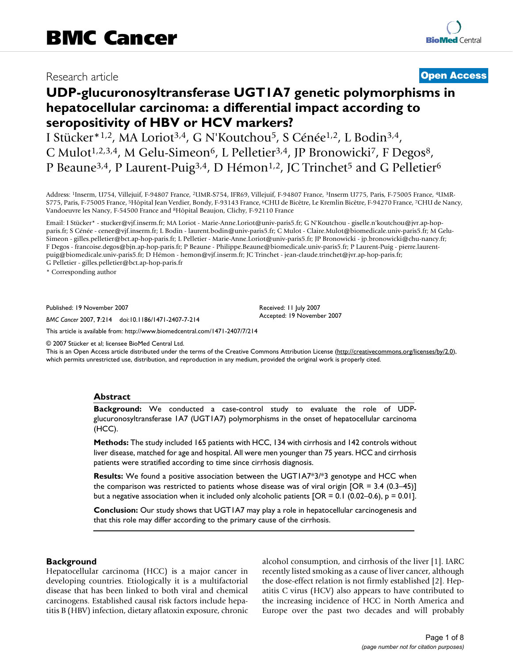# Research article **[Open Access](http://www.biomedcentral.com/info/about/charter/)**

# **UDP-glucuronosyltransferase UGT1A7 genetic polymorphisms in hepatocellular carcinoma: a differential impact according to seropositivity of HBV or HCV markers?**

I Stücker\*1,2, MA Loriot3,4, G N'Koutchou5, S Cénée1,2, L Bodin3,4, C Mulot<sup>1,2,3,4</sup>, M Gelu-Simeon<sup>6</sup>, L Pelletier<sup>3,4</sup>, JP Bronowicki<sup>7</sup>, F Degos<sup>8</sup>, P Beaune<sup>3,4</sup>, P Laurent-Puig<sup>3,4</sup>, D Hémon<sup>1,2</sup>, JC Trinchet<sup>5</sup> and G Pelletier<sup>6</sup>

Address: 1Inserm, U754, Villejuif, F-94807 France, 2UMR-S754, IFR69, Villejuif, F-94807 France, 3Inserm U775, Paris, F-75005 France, 4UMR-S775, Paris, F-75005 France, 5Hôpital Jean Verdier, Bondy, F-93143 France, 6CHU de Bicêtre, Le Kremlin Bicêtre, F-94270 France, 7CHU de Nancy, Vandoeuvre les Nancy, F-54500 France and 8Hôpital Beaujon, Clichy, F-92110 France

Email: I Stücker\* - stucker@vjf.inserm.fr; MA Loriot - Marie-Anne.Loriot@univ-paris5.fr; G N'Koutchou - giselle.n'koutchou@jvr.ap-hopparis.fr; S Cénée - cenee@vjf.inserm.fr; L Bodin - laurent.bodin@univ-paris5.fr; C Mulot - Claire.Mulot@biomedicale.univ-paris5.fr; M Gelu-Simeon - gilles.pelletier@bct.ap-hop-paris.fr; L Pelletier - Marie-Anne.Loriot@univ-paris5.fr; JP Bronowicki - jp.bronowicki@chu-nancy.fr; F Degos - francoise.degos@bjn.ap-hop-paris.fr; P Beaune - Philippe.Beaune@biomedicale.univ-paris5.fr; P Laurent-Puig - pierre.laurentpuig@biomedicale.univ-paris5.fr; D Hémon - hemon@vjf.inserm.fr; JC Trinchet - jean-claude.trinchet@jvr.ap-hop-paris.fr; G Pelletier - gilles.pelletier@bct.ap-hop-paris.fr

\* Corresponding author

Published: 19 November 2007

*BMC Cancer* 2007, **7**:214 doi:10.1186/1471-2407-7-214

[This article is available from: http://www.biomedcentral.com/1471-2407/7/214](http://www.biomedcentral.com/1471-2407/7/214)

© 2007 Stücker et al; licensee BioMed Central Ltd.

This is an Open Access article distributed under the terms of the Creative Commons Attribution License [\(http://creativecommons.org/licenses/by/2.0\)](http://creativecommons.org/licenses/by/2.0), which permits unrestricted use, distribution, and reproduction in any medium, provided the original work is properly cited.

Received: 11 July 2007 Accepted: 19 November 2007

## **Abstract**

**Background:** We conducted a case-control study to evaluate the role of UDPglucuronosyltransferase 1A7 (UGT1A7) polymorphisms in the onset of hepatocellular carcinoma (HCC).

**Methods:** The study included 165 patients with HCC, 134 with cirrhosis and 142 controls without liver disease, matched for age and hospital. All were men younger than 75 years. HCC and cirrhosis patients were stratified according to time since cirrhosis diagnosis.

**Results:** We found a positive association between the UGT1A7\*3/\*3 genotype and HCC when the comparison was restricted to patients whose disease was of viral origin [OR = 3.4 (0.3–45)] but a negative association when it included only alcoholic patients [OR = 0.1 (0.02–0.6),  $p = 0.01$ ].

**Conclusion:** Our study shows that UGT1A7 may play a role in hepatocellular carcinogenesis and that this role may differ according to the primary cause of the cirrhosis.

## **Background**

Hepatocellular carcinoma (HCC) is a major cancer in developing countries. Etiologically it is a multifactorial disease that has been linked to both viral and chemical carcinogens. Established causal risk factors include hepatitis B (HBV) infection, dietary aflatoxin exposure, chronic alcohol consumption, and cirrhosis of the liver [1]. IARC recently listed smoking as a cause of liver cancer, although the dose-effect relation is not firmly established [\[2\]](#page-7-0). Hepatitis C virus (HCV) also appears to have contributed to the increasing incidence of HCC in North America and Europe over the past two decades and will probably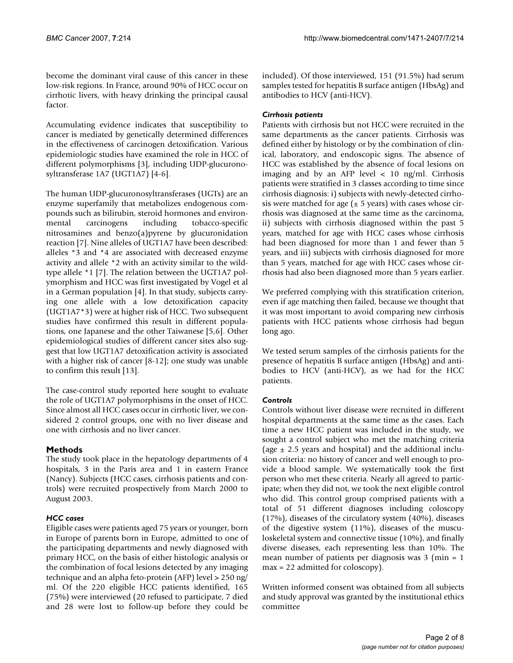become the dominant viral cause of this cancer in these low-risk regions. In France, around 90% of HCC occur on cirrhotic livers, with heavy drinking the principal causal factor.

Accumulating evidence indicates that susceptibility to cancer is mediated by genetically determined differences in the effectiveness of carcinogen detoxification. Various epidemiologic studies have examined the role in HCC of different polymorphisms [3], including UDP-glucuronosyltransferase 1A7 (UGT1A7) [4-6].

The human UDP-glucuronosyltransferases (UGTs) are an enzyme superfamily that metabolizes endogenous compounds such as bilirubin, steroid hormones and environmental carcinogens including tobacco-specific nitrosamines and benzo(a)pyrene by glucuronidation reaction [7]. Nine alleles of UGT1A7 have been described: alleles \*3 and \*4 are associated with decreased enzyme activity and allele \*2 with an activity similar to the wildtype allele \*1 [7]. The relation between the UGT1A7 polymorphism and HCC was first investigated by Vogel et al in a German population [4]. In that study, subjects carrying one allele with a low detoxification capacity (UGT1A7\*3) were at higher risk of HCC. Two subsequent studies have confirmed this result in different populations, one Japanese and the other Taiwanese [5,6]. Other epidemiological studies of different cancer sites also suggest that low UGT1A7 detoxification activity is associated with a higher risk of cancer [8-12]; one study was unable to confirm this result [13].

The case-control study reported here sought to evaluate the role of UGT1A7 polymorphisms in the onset of HCC. Since almost all HCC cases occur in cirrhotic liver, we considered 2 control groups, one with no liver disease and one with cirrhosis and no liver cancer.

# **Methods**

The study took place in the hepatology departments of 4 hospitals, 3 in the Paris area and 1 in eastern France (Nancy). Subjects (HCC cases, cirrhosis patients and controls) were recruited prospectively from March 2000 to August 2003.

# *HCC cases*

Eligible cases were patients aged 75 years or younger, born in Europe of parents born in Europe, admitted to one of the participating departments and newly diagnosed with primary HCC, on the basis of either histologic analysis or the combination of focal lesions detected by any imaging technique and an alpha feto-protein (AFP) level > 250 ng/ ml. Of the 220 eligible HCC patients identified, 165 (75%) were interviewed (20 refused to participate, 7 died and 28 were lost to follow-up before they could be included). Of those interviewed, 151 (91.5%) had serum samples tested for hepatitis B surface antigen (HbsAg) and antibodies to HCV (anti-HCV).

# *Cirrhosis patients*

Patients with cirrhosis but not HCC were recruited in the same departments as the cancer patients. Cirrhosis was defined either by histology or by the combination of clinical, laboratory, and endoscopic signs. The absence of HCC was established by the absence of focal lesions on imaging and by an AFP level < 10 ng/ml. Cirrhosis patients were stratified in 3 classes according to time since cirrhosis diagnosis: i) subjects with newly-detected cirrhosis were matched for age ( $\pm$  5 years) with cases whose cirrhosis was diagnosed at the same time as the carcinoma, ii) subjects with cirrhosis diagnosed within the past 5 years, matched for age with HCC cases whose cirrhosis had been diagnosed for more than 1 and fewer than 5 years, and iii) subjects with cirrhosis diagnosed for more than 5 years, matched for age with HCC cases whose cirrhosis had also been diagnosed more than 5 years earlier.

We preferred complying with this stratification criterion, even if age matching then failed, because we thought that it was most important to avoid comparing new cirrhosis patients with HCC patients whose cirrhosis had begun long ago.

We tested serum samples of the cirrhosis patients for the presence of hepatitis B surface antigen (HbsAg) and antibodies to HCV (anti-HCV), as we had for the HCC patients.

# *Controls*

Controls without liver disease were recruited in different hospital departments at the same time as the cases. Each time a new HCC patient was included in the study, we sought a control subject who met the matching criteria (age  $\pm$  2.5 years and hospital) and the additional inclusion criteria: no history of cancer and well enough to provide a blood sample. We systematically took the first person who met these criteria. Nearly all agreed to participate; when they did not, we took the next eligible control who did. This control group comprised patients with a total of 51 different diagnoses including coloscopy (17%), diseases of the circulatory system (40%), diseases of the digestive system (11%), diseases of the musculoskeletal system and connective tissue (10%), and finally diverse diseases, each representing less than 10%. The mean number of patients per diagnosis was 3 (min = 1 max = 22 admitted for coloscopy).

Written informed consent was obtained from all subjects and study approval was granted by the institutional ethics committee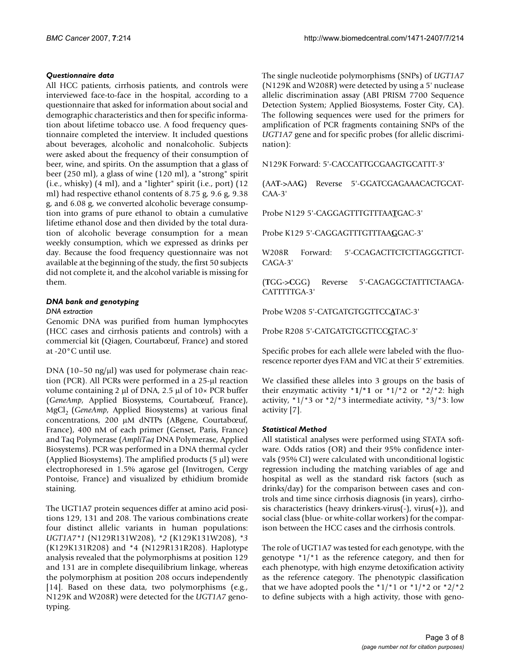# *Questionnaire data*

All HCC patients, cirrhosis patients, and controls were interviewed face-to-face in the hospital, according to a questionnaire that asked for information about social and demographic characteristics and then for specific information about lifetime tobacco use. A food frequency questionnaire completed the interview. It included questions about beverages, alcoholic and nonalcoholic. Subjects were asked about the frequency of their consumption of beer, wine, and spirits. On the assumption that a glass of beer (250 ml), a glass of wine (120 ml), a "strong" spirit (i.e., whisky) (4 ml), and a "lighter" spirit (i.e., port) (12 ml) had respective ethanol contents of 8.75 g, 9.6 g, 9.38 g, and 6.08 g, we converted alcoholic beverage consumption into grams of pure ethanol to obtain a cumulative lifetime ethanol dose and then divided by the total duration of alcoholic beverage consumption for a mean weekly consumption, which we expressed as drinks per day. Because the food frequency questionnaire was not available at the beginning of the study, the first 50 subjects did not complete it, and the alcohol variable is missing for them.

# *DNA bank and genotyping*

## *DNA extraction*

Genomic DNA was purified from human lymphocytes (HCC cases and cirrhosis patients and controls) with a commercial kit (Qiagen, Courtabœuf, France) and stored at -20°C until use.

DNA (10–50 ng/μl) was used for polymerase chain reaction (PCR). All PCRs were performed in a 25-μl reaction volume containing 2 μl of DNA, 2.5 μl of 10× PCR buffer (*GeneAmp*, Applied Biosystems, Courtabœuf, France), MgCl<sub>2</sub> (*GeneAmp*, Applied Biosystems) at various final concentrations, 200 μM dNTPs (ABgene, Courtabœuf, France), 400 nM of each primer (Genset, Paris, France) and Taq Polymerase (*AmpliTaq* DNA Polymerase, Applied Biosystems). PCR was performed in a DNA thermal cycler (Applied Biosystems). The amplified products  $(5 \mu l)$  were electrophoresed in 1.5% agarose gel (Invitrogen, Cergy Pontoise, France) and visualized by ethidium bromide staining.

The UGT1A7 protein sequences differ at amino acid positions 129, 131 and 208. The various combinations create four distinct allelic variants in human populations: *UGT1A7\*1* (N129R131W208), *\*2* (K129K131W208), *\*3* (K129K131R208) and \*4 (N129R131R208). Haplotype analysis revealed that the polymorphisms at position 129 and 131 are in complete disequilibrium linkage, whereas the polymorphism at position 208 occurs independently [14]. Based on these data, two polymorphisms (e.g., N129K and W208R) were detected for the *UGT1A7* genotyping.

The single nucleotide polymorphisms (SNPs) of *UGT1A7* (N129K and W208R) were detected by using a 5' nuclease allelic discrimination assay (ABI PRISM 7700 Sequence Detection System; Applied Biosystems, Foster City, CA). The following sequences were used for the primers for amplification of PCR fragments containing SNPs of the *UGT1A7* gene and for specific probes (for allelic discrimination):

N129K Forward: 5'-CACCATTGCGAAGTGCATTT-3'

(AA**T**->AA**G**) Reverse 5'-GGATCGAGAAACACTGCAT-CAA-3'

Probe N129 5'-CAGGAGTTTGTTTAA**T**GAC-3'

Probe K129 5'-CAGGAGTTTGTTTAA**G**GAC-3'

W208R Forward: 5'-CCAGACTTCTCTTAGGGTTCT-CAGA-3'

(**T**GG->**C**GG) Reverse 5'-CAGAGGCTATTTCTAAGA-CATTTTTGA-3'

Probe W208 5'-CATGATGTGGTTCC**A**TAC-3'

Probe R208 5'-CATGATGTGGTTCC**G**TAC-3'

Specific probes for each allele were labeled with the fluorescence reporter dyes FAM and VIC at their 5' extremities.

We classified these alleles into 3 groups on the basis of their enzymatic activity  $*1/*1$  or  $*1/*2$  or  $*2/*2$ : high activity,  $*1/*3$  or  $*2/*3$  intermediate activity,  $*3/*3$ : low activity [7].

## *Statistical Method*

All statistical analyses were performed using STATA software. Odds ratios (OR) and their 95% confidence intervals (95% CI) were calculated with unconditional logistic regression including the matching variables of age and hospital as well as the standard risk factors (such as drinks/day) for the comparison between cases and controls and time since cirrhosis diagnosis (in years), cirrhosis characteristics (heavy drinkers-virus(-), virus(+)), and social class (blue- or white-collar workers) for the comparison between the HCC cases and the cirrhosis controls.

The role of UGT1A7 was tested for each genotype, with the genotype  $\pm 1/\pm 1$  as the reference category, and then for each phenotype, with high enzyme detoxification activity as the reference category. The phenotypic classification that we have adopted pools the  $*1/*1$  or  $*1/*2$  or  $*2/*2$ to define subjects with a high activity, those with geno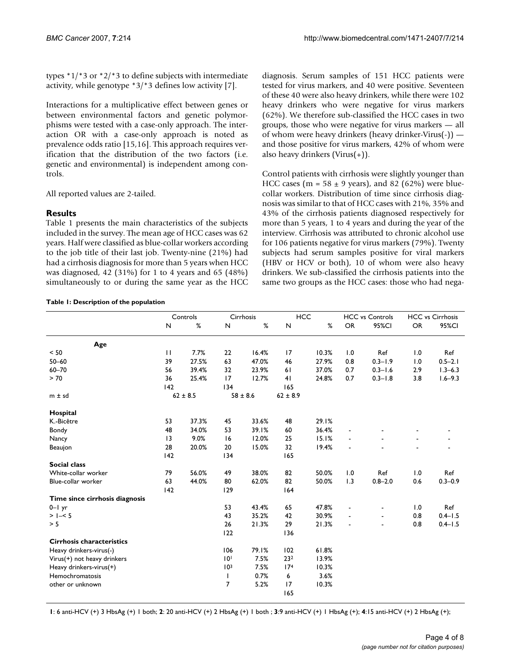types \*1/\*3 or \*2/\*3 to define subjects with intermediate activity, while genotype \*3/\*3 defines low activity [7].

Interactions for a multiplicative effect between genes or between environmental factors and genetic polymorphisms were tested with a case-only approach. The interaction OR with a case-only approach is noted as prevalence odds ratio [15,16]. This approach requires verification that the distribution of the two factors (i.e. genetic and environmental) is independent among controls.

All reported values are 2-tailed.

# **Results**

Table 1 presents the main characteristics of the subjects included in the survey. The mean age of HCC cases was 62 years. Half were classified as blue-collar workers according to the job title of their last job. Twenty-nine (21%) had had a cirrhosis diagnosis for more than 5 years when HCC was diagnosed, 42 (31%) for 1 to 4 years and 65 (48%) simultaneously to or during the same year as the HCC

#### **Table 1: Description of the population**

diagnosis. Serum samples of 151 HCC patients were tested for virus markers, and 40 were positive. Seventeen of these 40 were also heavy drinkers, while there were 102 heavy drinkers who were negative for virus markers (62%). We therefore sub-classified the HCC cases in two groups, those who were negative for virus markers — all of whom were heavy drinkers (heavy drinker-Virus(-)) and those positive for virus markers, 42% of whom were also heavy drinkers (Virus(+)).

Control patients with cirrhosis were slightly younger than HCC cases (m =  $58 \pm 9$  years), and 82 (62%) were bluecollar workers. Distribution of time since cirrhosis diagnosis was similar to that of HCC cases with 21%, 35% and 43% of the cirrhosis patients diagnosed respectively for more than 5 years, 1 to 4 years and during the year of the interview. Cirrhosis was attributed to chronic alcohol use for 106 patients negative for virus markers (79%). Twenty subjects had serum samples positive for viral markers (HBV or HCV or both), 10 of whom were also heavy drinkers. We sub-classified the cirrhosis patients into the same two groups as the HCC cases: those who had nega-

|                                  | Controls     |       | Cirrhosis       |       | <b>HCC</b>      |       | <b>HCC vs Controls</b> |                | <b>HCC</b> vs Cirrhosis |             |
|----------------------------------|--------------|-------|-----------------|-------|-----------------|-------|------------------------|----------------|-------------------------|-------------|
|                                  | N            | %     | N               | %     | N               | %     | <b>OR</b>              | 95%CI          | OR                      | 95%CI       |
|                                  |              |       |                 |       |                 |       |                        |                |                         |             |
| Age                              |              |       |                 |       |                 |       |                        |                |                         |             |
| < 50                             | $\mathbf{H}$ | 7.7%  | 22              | 16.4% | 17              | 10.3% | 1.0                    | Ref            | 1.0                     | Ref         |
| $50 - 60$                        | 39           | 27.5% | 63              | 47.0% | 46              | 27.9% | 0.8                    | $0.3 - 1.9$    | 1.0                     | $0.5 - 2.1$ |
| $60 - 70$                        | 56           | 39.4% | 32              | 23.9% | 61              | 37.0% | 0.7                    | $0.3 - 1.6$    | 2.9                     | $1.3 - 6.3$ |
| > 70                             | 36           | 25.4% | 17              | 12.7% | 41              | 24.8% | 0.7                    | $0.3 - 1.8$    | 3.8                     | $1.6 - 9.3$ |
|                                  | 142          |       | 134             |       | 165             |       |                        |                |                         |             |
| $m \pm sd$                       | $62 \pm 8.5$ |       | $58 \pm 8.6$    |       | $62 \pm 8.9$    |       |                        |                |                         |             |
| Hospital                         |              |       |                 |       |                 |       |                        |                |                         |             |
| K.-Bicêtre                       | 53           | 37.3% | 45              | 33.6% | 48              | 29.1% |                        |                |                         |             |
| <b>Bondy</b>                     | 48           | 34.0% | 53              | 39.1% | 60              | 36.4% |                        |                |                         |             |
| Nancy                            | 3            | 9.0%  | 16              | 12.0% | 25              | 15.1% |                        |                |                         |             |
| Beaujon                          | 28           | 20.0% | 20              | 15.0% | 32              | 19.4% |                        |                |                         |             |
|                                  | 142          |       | 134             |       | 165             |       |                        |                |                         |             |
| <b>Social class</b>              |              |       |                 |       |                 |       |                        |                |                         |             |
| White-collar worker              | 79           | 56.0% | 49              | 38.0% | 82              | 50.0% | 1.0                    | Ref            | 1.0                     | Ref         |
| Blue-collar worker               | 63           | 44.0% | 80              | 62.0% | 82              | 50.0% | 1.3                    | $0.8 - 2.0$    | 0.6                     | $0.3 - 0.9$ |
|                                  | 142          |       | 129             |       | 164             |       |                        |                |                         |             |
| Time since cirrhosis diagnosis   |              |       |                 |       |                 |       |                        |                |                         |             |
| $0 - 1$ yr                       |              |       | 53              | 43.4% | 65              | 47.8% | $\blacksquare$         | $\blacksquare$ | 1.0                     | Ref         |
| $> 1 - 5$                        |              |       | 43              | 35.2% | 42              | 30.9% |                        | $\blacksquare$ | 0.8                     | $0.4 - 1.5$ |
| > 5                              |              |       | 26              | 21.3% | 29              | 21.3% |                        |                | 0.8                     | $0.4 - 1.5$ |
|                                  |              |       | 122             |       | 136             |       |                        |                |                         |             |
| <b>Cirrhosis characteristics</b> |              |       |                 |       |                 |       |                        |                |                         |             |
| Heavy drinkers-virus(-)          |              |       | 106             | 79.1% | 102             | 61.8% |                        |                |                         |             |
| Virus(+) not heavy drinkers      |              |       | 10 <sup>1</sup> | 7.5%  | 232             | 13.9% |                        |                |                         |             |
| Heavy drinkers-virus(+)          |              |       | 10 <sup>3</sup> | 7.5%  | 17 <sup>4</sup> | 10.3% |                        |                |                         |             |
| Hemochromatosis                  |              |       | $\mathbf{I}$    | 0.7%  | 6               | 3.6%  |                        |                |                         |             |
| other or unknown                 |              |       | 7               | 5.2%  | 17              | 10.3% |                        |                |                         |             |
|                                  |              |       |                 |       | 165             |       |                        |                |                         |             |

**1**: 6 anti-HCV (+) 3 HbsAg (+) 1 both; **2**: 20 anti-HCV (+) 2 HbsAg (+) 1 both ; **3**:9 anti-HCV (+) 1 HbsAg (+); **4**:15 anti-HCV (+) 2 HbsAg (+);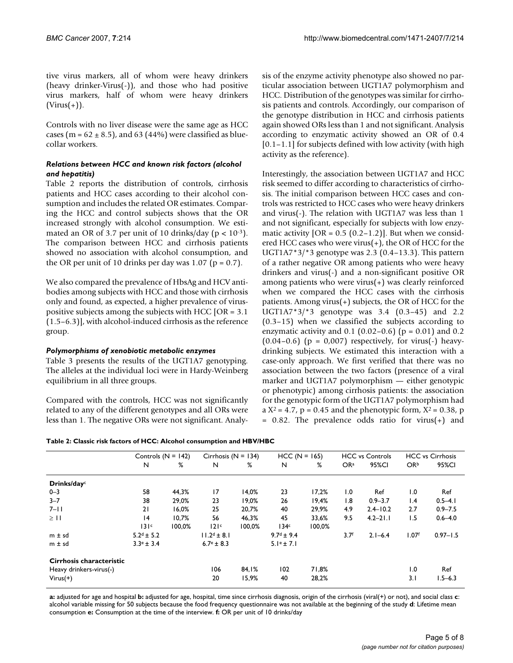tive virus markers, all of whom were heavy drinkers (heavy drinker-Virus(-)), and those who had positive virus markers, half of whom were heavy drinkers  $(Virus(+)).$ 

Controls with no liver disease were the same age as HCC cases (m =  $62 \pm 8.5$ ), and  $63$  (44%) were classified as bluecollar workers.

# *Relations between HCC and known risk factors (alcohol and hepatitis)*

Table 2 reports the distribution of controls, cirrhosis patients and HCC cases according to their alcohol consumption and includes the related OR estimates. Comparing the HCC and control subjects shows that the OR increased strongly with alcohol consumption. We estimated an OR of 3.7 per unit of 10 drinks/day ( $p < 10^{-3}$ ). The comparison between HCC and cirrhosis patients showed no association with alcohol consumption, and the OR per unit of 10 drinks per day was  $1.07$  (p = 0.7).

We also compared the prevalence of HbsAg and HCV antibodies among subjects with HCC and those with cirrhosis only and found, as expected, a higher prevalence of viruspositive subjects among the subjects with HCC [OR = 3.1 (1.5–6.3)], with alcohol-induced cirrhosis as the reference group.

# *Polymorphisms of xenobiotic metabolic enzymes*

Table 3 presents the results of the UGT1A7 genotyping. The alleles at the individual loci were in Hardy-Weinberg equilibrium in all three groups.

Compared with the controls, HCC was not significantly related to any of the different genotypes and all ORs were less than 1. The negative ORs were not significant. Analysis of the enzyme activity phenotype also showed no particular association between UGT1A7 polymorphism and HCC. Distribution of the genotypes was similar for cirrhosis patients and controls. Accordingly, our comparison of the genotype distribution in HCC and cirrhosis patients again showed ORs less than 1 and not significant. Analysis according to enzymatic activity showed an OR of 0.4 [0.1–1.1] for subjects defined with low activity (with high activity as the reference).

Interestingly, the association between UGT1A7 and HCC risk seemed to differ according to characteristics of cirrhosis. The initial comparison between HCC cases and controls was restricted to HCC cases who were heavy drinkers and virus(-). The relation with UGT1A7 was less than 1 and not significant, especially for subjects with low enzymatic activity  $[OR = 0.5 (0.2 - 1.2)]$ . But when we considered HCC cases who were virus(+), the OR of HCC for the UGT1A7 $*3/*3$  genotype was 2.3 (0.4–13.3). This pattern of a rather negative OR among patients who were heavy drinkers and virus(-) and a non-significant positive OR among patients who were virus(+) was clearly reinforced when we compared the HCC cases with the cirrhosis patients. Among virus(+) subjects, the OR of HCC for the UGT1A7\*3/\*3 genotype was 3.4 (0.3–45) and 2.2 (0.3–15) when we classified the subjects according to enzymatic activity and  $0.1$  (0.02–0.6) ( $p = 0.01$ ) and 0.2  $(0.04-0.6)$  (p = 0,007) respectively, for virus(-) heavydrinking subjects. We estimated this interaction with a case-only approach. We first verified that there was no association between the two factors (presence of a viral marker and UGT1A7 polymorphism — either genotypic or phenotypic) among cirrhosis patients: the association for the genotypic form of the UGT1A7 polymorphism had a  $X^2 = 4.7$ ,  $p = 0.45$  and the phenotypic form,  $X^2 = 0.38$ , p  $= 0.82$ . The prevalence odds ratio for virus(+) and

|  |  |  | Table 2: Classic risk factors of HCC: Alcohol consumption and HBV/HBC |
|--|--|--|-----------------------------------------------------------------------|
|  |  |  |                                                                       |

|                          | Controls $(N = 142)$  |        | Cirrhosis ( $N = 134$ ) |        | $HCC (N = 165)$  |        | <b>HCC</b> vs Controls |              | <b>HCC</b> vs Cirrhosis |              |
|--------------------------|-----------------------|--------|-------------------------|--------|------------------|--------|------------------------|--------------|-------------------------|--------------|
|                          | N                     | %      | N                       | %      | N                | %      | OR <sup>a</sup>        | 95%CI        | OR <sup>b</sup>         | 95%CI        |
| Drinks/dayc              |                       |        |                         |        |                  |        |                        |              |                         |              |
| $0 - 3$                  | 58                    | 44,3%  | 17                      | 14,0%  | 23               | 17,2%  | 1.0                    | Ref          | 1.0                     | Ref          |
| $3 - 7$                  | 38                    | 29,0%  | 23                      | 19,0%  | 26               | 19,4%  | 1.8                    | $0.9 - 3.7$  | 1.4                     | $0.5 - 4.1$  |
| $7 - 11$                 | 21                    | 16.0%  | 25                      | 20,7%  | 40               | 29,9%  | 4.9                    | $2.4 - 10.2$ | 2.7                     | $0.9 - 7.5$  |
| $\geq$ 11                | 4                     | 10.7%  | 56                      | 46,3%  | 45               | 33,6%  | 9.5                    | $4.2 - 21.1$ | 1.5                     | $0.6 - 4.0$  |
|                          | 131c                  | 100.0% | 121c                    | 100.0% | 134 <sup>c</sup> | 100.0% |                        |              |                         |              |
| $m \pm sd$               | $5.2d \pm 5.2$        |        | $11.2d \pm 8.1$         |        | $9.7d \pm 9.4$   |        | 3.7 <sup>f</sup>       | $2.1 - 6.4$  | 1.07 <sup>f</sup>       | $0.97 - 1.5$ |
| $m \pm sd$               | $3.3^{\circ} \pm 3.4$ |        | $6.7^{\circ} \pm 8.3$   |        | $5.1e \pm 7.1$   |        |                        |              |                         |              |
| Cirrhosis characteristic |                       |        |                         |        |                  |        |                        |              |                         |              |
| Heavy drinkers-virus(-)  |                       |        | 106                     | 84.1%  | 102              | 71,8%  |                        |              | 1.0                     | Ref          |
| $Virus(+)$               |                       |        | 20                      | 15,9%  | 40               | 28,2%  |                        |              | 3.1                     | $1.5 - 6.3$  |

**a:** adjusted for age and hospital **b:** adjusted for age, hospital, time since cirrhosis diagnosis, origin of the cirrhosis (viral(+) or not), and social class **c**: alcohol variable missing for 50 subjects because the food frequency questionnaire was not available at the beginning of the study **d**: Lifetime mean consumption **e:** Consumption at the time of the interview. **f:** OR per unit of 10 drinks/day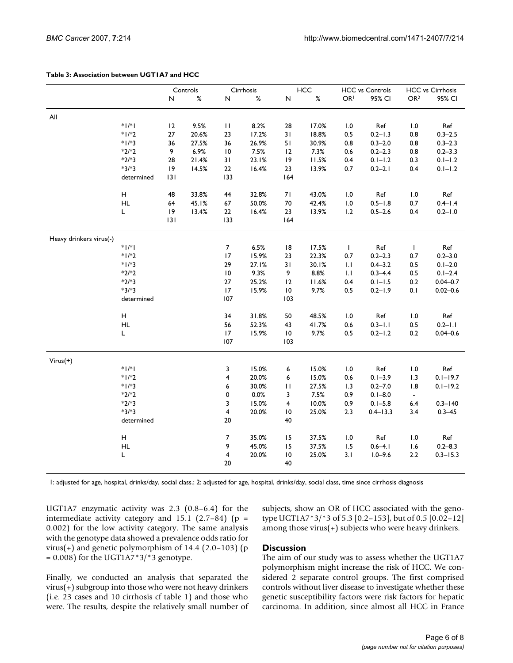#### **Table 3: Association between UGT1A7 and HCC**

|                         |                                                             | Controls |       | Cirrhosis                    |               | HCC                   |               | <b>HCC vs Controls</b>                            |                            | <b>HCC vs Cirrhosis</b> |                           |
|-------------------------|-------------------------------------------------------------|----------|-------|------------------------------|---------------|-----------------------|---------------|---------------------------------------------------|----------------------------|-------------------------|---------------------------|
|                         |                                                             | N        | $\%$  | $\sf N$                      | $\%$          | $\hbox{\sf N}$        | $\%$          | OR <sup>1</sup>                                   | 95% CI                     | OR <sup>2</sup>         | 95% CI                    |
|                         |                                                             |          |       |                              |               |                       |               |                                                   |                            |                         |                           |
| All                     |                                                             |          |       |                              |               |                       |               |                                                   |                            |                         |                           |
|                         | $*$  /*                                                     | 12       | 9.5%  | $\mathbf{H}$                 | 8.2%          | 28                    | 17.0%         | 1.0                                               | Ref                        | 1.0                     | Ref                       |
|                         | $*1/*2$                                                     | 27       | 20.6% | 23                           | 17.2%         | 31                    | 18.8%         | $0.5\,$                                           | $0.2 - 1.3$                | 0.8                     | $0.3 - 2.5$               |
|                         | $*1/*3$                                                     | 36       | 27.5% | 36                           | 26.9%         | 51                    | 30.9%         | 0.8                                               | $0.3 - 2.0$                | $0.8\,$                 | $0.3 - 2.3$               |
|                         | $*2/*2$                                                     | 9        | 6.9%  | $\overline{10}$              | 7.5%          | 12                    | 7.3%          | 0.6                                               | $0.2 - 2.3$                | 0.8                     | $0.2 - 3.3$               |
|                         | $*2/*3$                                                     | 28       | 21.4% | 31                           | 23.1%         | 9                     | 11.5%         | 0.4                                               | $0.1 - 1.2$                | 0.3                     | $0.1 - 1.2$               |
|                         | $*3/*3$                                                     | 9        | 14.5% | $22\,$                       | 16.4%         | 23                    | 13.9%         | 0.7                                               | $0.2 - 2.1$                | 0.4                     | $0.1 - 1.2$               |
|                         | determined                                                  | 131      |       | 133                          |               | 164                   |               |                                                   |                            |                         |                           |
|                         |                                                             |          |       |                              |               |                       |               |                                                   |                            |                         |                           |
|                         | н                                                           | 48       | 33.8% | 44                           | 32.8%         | 71                    | 43.0%         | $1.0\,$                                           | Ref                        | 1.0                     | Ref                       |
|                         | HL                                                          | 64       | 45.1% | 67                           | 50.0%         | $70\,$                | 42.4%         | $1.0\,$                                           | $0.5 - 1.8$                | 0.7                     | $0.4 - 1.4$               |
|                         | Г                                                           | 9        | 13.4% | $22\,$                       | 16.4%         | 23                    | 13.9%         | 1.2                                               | $0.5 - 2.6$                | 0.4                     | $0.2 - 1.0$               |
|                         |                                                             | 3        |       | 133                          |               | 164                   |               |                                                   |                            |                         |                           |
| Heavy drinkers virus(-) |                                                             |          |       |                              |               |                       |               |                                                   |                            |                         |                           |
|                         | $\  \cdot \ $                                               |          |       | $\boldsymbol{7}$             | 6.5%          | $\,$ l $\,$ 8 $\,$    | 17.5%         | $\mathbf{I}$                                      | Ref                        | $\mathbf{I}$            | Ref                       |
|                         | $*1/*2$                                                     |          |       | 17                           | 15.9%         | 23                    | 22.3%         | 0.7                                               | $0.2 - 2.3$                | $0.7\,$                 | $0.2 - 3.0$               |
|                         | $*1/*3$                                                     |          |       | 29                           | 27.1%         | 31                    | 30.1%         | 1.1                                               | $0.4 - 3.2$                | $0.5\,$                 | $0.1 - 2.0$               |
|                         | $*2/*2$                                                     |          |       | $\overline{10}$              | 9.3%          | 9                     | 8.8%          | $  \cdot  $                                       | $0.3 - 4.4$                | $0.5\,$                 | $0.1 - 2.4$               |
|                         | $*2/*3$                                                     |          |       | 27                           | 25.2%         | 12                    | 11.6%         | 0.4                                               | $0.1 - 1.5$                | $0.2\,$                 | $0.04 - 0.7$              |
|                         | $*3/*3$                                                     |          |       | 17                           | 15.9%         | $\overline{10}$       | 9.7%          | 0.5                                               | $0.2 - 1.9$                | 0.1                     | $0.02 - 0.6$              |
|                         | determined                                                  |          |       | 107                          |               | 103                   |               |                                                   |                            |                         |                           |
|                         |                                                             |          |       |                              |               |                       |               |                                                   |                            |                         |                           |
|                         | $\mathsf{H}% _{\mathbb{R}}^{1}\left( \mathbb{R}^{2}\right)$ |          |       | 34                           | 31.8%         | 50                    | 48.5%         | 1.0                                               | Ref                        | 1.0                     | Ref                       |
|                         | HL                                                          |          |       | 56                           | 52.3%         | 43                    | 41.7%         | 0.6                                               | $0.3 - 1.1$                | 0.5                     | $0.2 - 1.1$               |
|                         | Г                                                           |          |       | 17                           | 15.9%         | $\overline{10}$       | 9.7%          | 0.5                                               | $0.2 - 1.2$                | 0.2                     | $0.04 - 0.6$              |
|                         |                                                             |          |       | 107                          |               | 103                   |               |                                                   |                            |                         |                           |
|                         |                                                             |          |       |                              |               |                       |               |                                                   |                            |                         |                           |
| $Virus(+)$              | $*$  /*                                                     |          |       |                              | 15.0%         |                       |               |                                                   |                            |                         |                           |
|                         | $*1/*2$                                                     |          |       | 3                            |               | 6                     | 15.0%         | $\boldsymbol{\mathsf{I}}.\boldsymbol{\mathsf{0}}$ | Ref                        | $1.0\,$                 | Ref                       |
|                         | $*1/*3$                                                     |          |       | 4                            | 20.0%         | 6                     | 15.0%         | $0.6\,$                                           | $0.1 - 3.9$                | 1.3                     | $0.1 - 19.7$              |
|                         | $*2/*2$                                                     |          |       | 6<br>0                       | 30.0%<br>0.0% | П<br>3                | 27.5%<br>7.5% | 1.3                                               | $0.2 - 7.0$<br>$0.1 - 8.0$ | 1.8                     | $0.1 - 19.2$              |
|                         | $*2/*3$                                                     |          |       |                              | 15.0%         | 4                     | 10.0%         | 0.9                                               | $0.1 - 5.8$                | $\blacksquare$          |                           |
|                         | $*3/*3$                                                     |          |       | 3<br>$\overline{\mathbf{4}}$ | 20.0%         |                       | 25.0%         | 0.9                                               |                            | $6.4\,$                 | $0.3 - 140$<br>$0.3 - 45$ |
|                         |                                                             |          |       | 20                           |               | $\overline{10}$<br>40 |               | 2.3                                               | $0.4 - 13.3$               | 3.4                     |                           |
|                         | determined                                                  |          |       |                              |               |                       |               |                                                   |                            |                         |                           |
|                         | н                                                           |          |       | $\boldsymbol{7}$             | 35.0%         | 15                    | 37.5%         | 1.0                                               | Ref                        | 1.0                     | Ref                       |
|                         | HL                                                          |          |       | 9                            | 45.0%         | 15                    | 37.5%         | 1.5                                               | $0.6 - 4.1$                | 1.6                     | $0.2 - 8.3$               |
|                         | L                                                           |          |       | $\overline{\mathbf{4}}$      | 20.0%         | $\overline{10}$       | 25.0%         | 3.1                                               | $1.0 - 9.6$                | 2.2                     | $0.3 - 15.3$              |
|                         |                                                             |          |       | 20                           |               | 40                    |               |                                                   |                            |                         |                           |
|                         |                                                             |          |       |                              |               |                       |               |                                                   |                            |                         |                           |

1: adjusted for age, hospital, drinks/day, social class.; 2: adjusted for age, hospital, drinks/day, social class, time since cirrhosis diagnosis

UGT1A7 enzymatic activity was 2.3 (0.8–6.4) for the intermediate activity category and  $15.1$  (2.7–84) (p = 0.002) for the low activity category. The same analysis with the genotype data showed a prevalence odds ratio for virus(+) and genetic polymorphism of  $14.4$  (2.0–103) (p  $= 0.008$ ) for the UGT1A7\*3/\*3 genotype.

Finally, we conducted an analysis that separated the virus(+) subgroup into those who were not heavy drinkers (i.e. 23 cases and 10 cirrhosis cf table 1) and those who were. The results, despite the relatively small number of subjects, show an OR of HCC associated with the genotype UGT1A7\*3/\*3 of 5.3 [0.2–153], but of 0.5 [0.02–12] among those virus(+) subjects who were heavy drinkers.

## **Discussion**

The aim of our study was to assess whether the UGT1A7 polymorphism might increase the risk of HCC. We considered 2 separate control groups. The first comprised controls without liver disease to investigate whether these genetic susceptibility factors were risk factors for hepatic carcinoma. In addition, since almost all HCC in France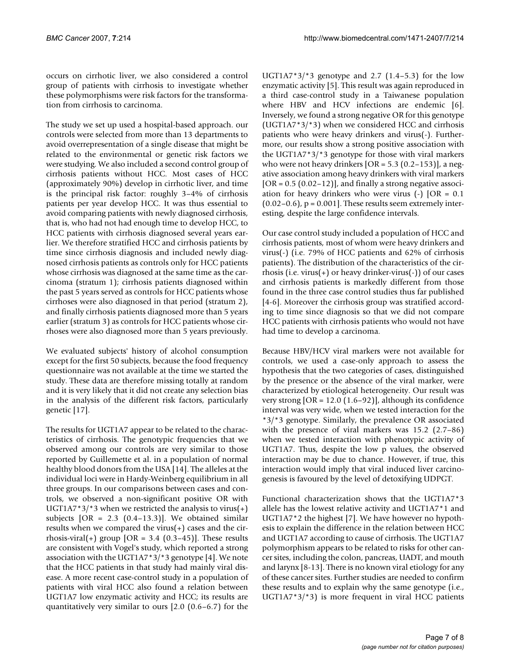occurs on cirrhotic liver, we also considered a control group of patients with cirrhosis to investigate whether these polymorphisms were risk factors for the transformation from cirrhosis to carcinoma.

The study we set up used a hospital-based approach. our controls were selected from more than 13 departments to avoid overrepresentation of a single disease that might be related to the environmental or genetic risk factors we were studying. We also included a second control group of cirrhosis patients without HCC. Most cases of HCC (approximately 90%) develop in cirrhotic liver, and time is the principal risk factor: roughly 3–4% of cirrhosis patients per year develop HCC. It was thus essential to avoid comparing patients with newly diagnosed cirrhosis, that is, who had not had enough time to develop HCC, to HCC patients with cirrhosis diagnosed several years earlier. We therefore stratified HCC and cirrhosis patients by time since cirrhosis diagnosis and included newly diagnosed cirrhosis patients as controls only for HCC patients whose cirrhosis was diagnosed at the same time as the carcinoma (stratum 1); cirrhosis patients diagnosed within the past 5 years served as controls for HCC patients whose cirrhoses were also diagnosed in that period (stratum 2), and finally cirrhosis patients diagnosed more than 5 years earlier (stratum 3) as controls for HCC patients whose cirrhoses were also diagnosed more than 5 years previously.

We evaluated subjects' history of alcohol consumption except for the first 50 subjects, because the food frequency questionnaire was not available at the time we started the study. These data are therefore missing totally at random and it is very likely that it did not create any selection bias in the analysis of the different risk factors, particularly genetic [17].

The results for UGT1A7 appear to be related to the characteristics of cirrhosis. The genotypic frequencies that we observed among our controls are very similar to those reported by Guillemette et al. in a population of normal healthy blood donors from the USA [14]. The alleles at the individual loci were in Hardy-Weinberg equilibrium in all three groups. In our comparisons between cases and controls, we observed a non-significant positive OR with UGT1A7\*3/\*3 when we restricted the analysis to virus(+) subjects  $[OR = 2.3 (0.4-13.3)]$ . We obtained similar results when we compared the virus(+) cases and the cirrhosis-viral(+) group  $[OR = 3.4 (0.3-45)]$ . These results are consistent with Vogel's study, which reported a strong association with the UGT1A7\*3/\*3 genotype [4]. We note that the HCC patients in that study had mainly viral disease. A more recent case-control study in a population of patients with viral HCC also found a relation between UGT1A7 low enzymatic activity and HCC; its results are quantitatively very similar to ours [2.0 (0.6–6.7) for the UGT1A7 $*3/*3$  genotype and 2.7 (1.4–5.3) for the low enzymatic activity [5]. This result was again reproduced in a third case-control study in a Taiwanese population where HBV and HCV infections are endemic [6]. Inversely, we found a strong negative OR for this genotype (UGT1A7\*3/\*3) when we considered HCC and cirrhosis patients who were heavy drinkers and virus(-). Furthermore, our results show a strong positive association with the UGT1A7\*3/\*3 genotype for those with viral markers who were not heavy drinkers  $[OR = 5.3 (0.2-153)]$ , a negative association among heavy drinkers with viral markers  $[OR = 0.5 (0.02 - 12)]$ , and finally a strong negative association for heavy drinkers who were virus  $(-)$   $[OR = 0.1]$  $(0.02-0.6)$ ,  $p = 0.001$ . These results seem extremely interesting, despite the large confidence intervals.

Our case control study included a population of HCC and cirrhosis patients, most of whom were heavy drinkers and virus(-) (i.e. 79% of HCC patients and 62% of cirrhosis patients). The distribution of the characteristics of the cirrhosis (i.e. virus(+) or heavy drinker-virus(-)) of our cases and cirrhosis patients is markedly different from those found in the three case control studies thus far published [4-6]. Moreover the cirrhosis group was stratified according to time since diagnosis so that we did not compare HCC patients with cirrhosis patients who would not have had time to develop a carcinoma.

Because HBV/HCV viral markers were not available for controls, we used a case-only approach to assess the hypothesis that the two categories of cases, distinguished by the presence or the absence of the viral marker, were characterized by etiological heterogeneity. Our result was very strong [OR = 12.0 (1.6–92)], although its confidence interval was very wide, when we tested interaction for the \*3/\*3 genotype. Similarly, the prevalence OR associated with the presence of viral markers was 15.2 (2.7–86) when we tested interaction with phenotypic activity of UGT1A7. Thus, despite the low p values, the observed interaction may be due to chance. However, if true, this interaction would imply that viral induced liver carcinogenesis is favoured by the level of detoxifying UDPGT.

Functional characterization shows that the UGT1A7\*3 allele has the lowest relative activity and UGT1A7\*1 and UGT1A7\*2 the highest [7]. We have however no hypothesis to explain the difference in the relation between HCC and UGT1A7 according to cause of cirrhosis. The UGT1A7 polymorphism appears to be related to risks for other cancer sites, including the colon, pancreas, UADT, and mouth and larynx [8-13]. There is no known viral etiology for any of these cancer sites. Further studies are needed to confirm these results and to explain why the same genotype (i.e., UGT1A7\*3/\*3) is more frequent in viral HCC patients